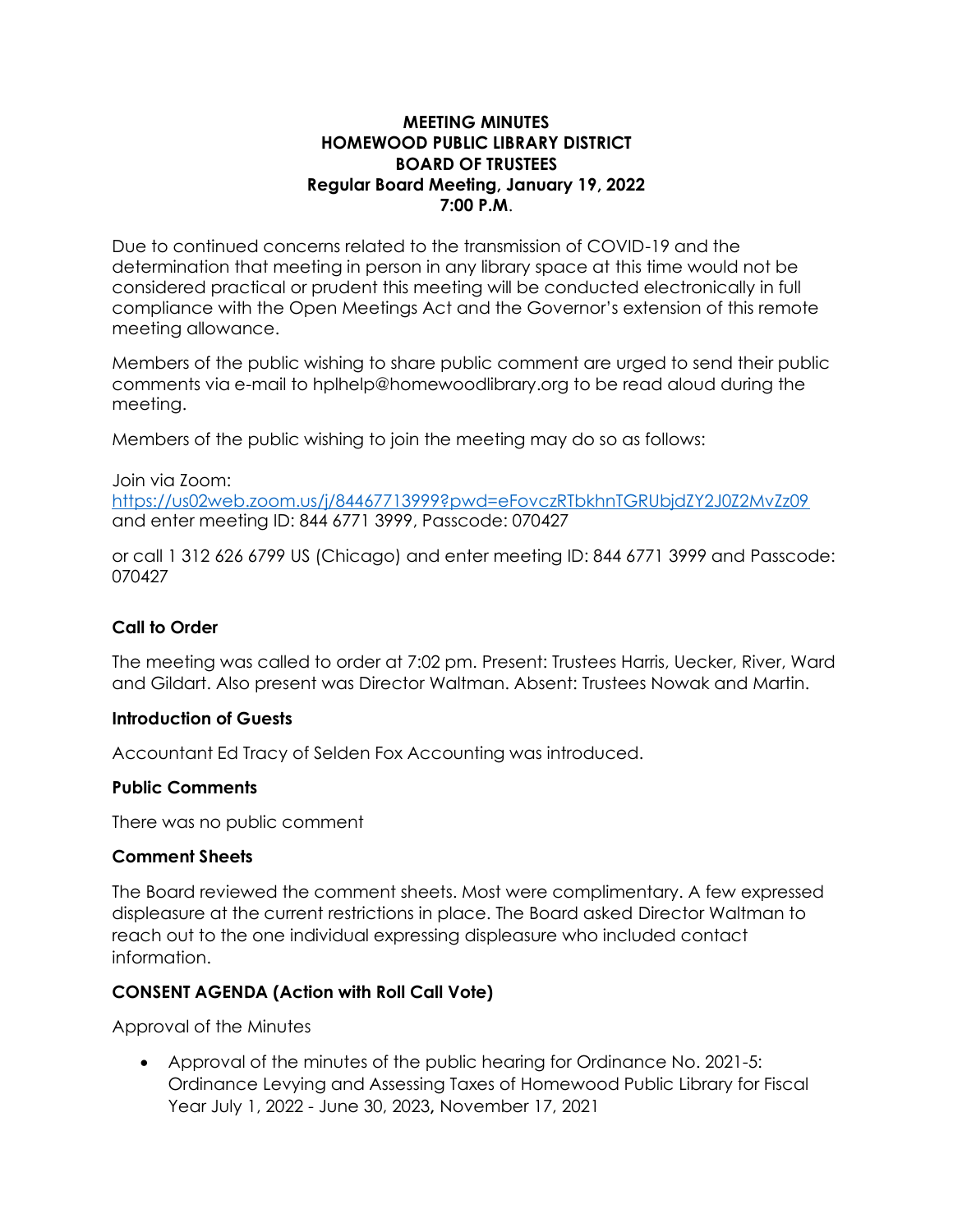### **MEETING MINUTES HOMEWOOD PUBLIC LIBRARY DISTRICT BOARD OF TRUSTEES Regular Board Meeting, January 19, 2022 7:00 P.M**.

Due to continued concerns related to the transmission of COVID-19 and the determination that meeting in person in any library space at this time would not be considered practical or prudent this meeting will be conducted electronically in full compliance with the Open Meetings Act and the Governor's extension of this remote meeting allowance.

Members of the public wishing to share public comment are urged to send their public comments via e-mail to hplhelp@homewoodlibrary.org to be read aloud during the meeting.

Members of the public wishing to join the meeting may do so as follows:

### Join via Zoom:

<https://us02web.zoom.us/j/84467713999?pwd=eFovczRTbkhnTGRUbjdZY2J0Z2MvZz09> and enter meeting ID: 844 6771 3999, Passcode: 070427

or call 1 312 626 6799 US (Chicago) and enter meeting ID: 844 6771 3999 and Passcode: 070427

# **Call to Order**

The meeting was called to order at 7:02 pm. Present: Trustees Harris, Uecker, River, Ward and Gildart. Also present was Director Waltman. Absent: Trustees Nowak and Martin.

### **Introduction of Guests**

Accountant Ed Tracy of Selden Fox Accounting was introduced.

### **Public Comments**

There was no public comment

### **Comment Sheets**

The Board reviewed the comment sheets. Most were complimentary. A few expressed displeasure at the current restrictions in place. The Board asked Director Waltman to reach out to the one individual expressing displeasure who included contact information.

# **CONSENT AGENDA (Action with Roll Call Vote)**

Approval of the Minutes

• Approval of the minutes of the public hearing for [Ordinance No. 2021-5:](https://www.homewoodlibrary.org/sites/default/files/carousel-images/2021%20levy%20final%20revised%20submitted.pdf)  [Ordinance Levying and Assessing Taxes of Homewood Public Library for Fiscal](https://www.homewoodlibrary.org/sites/default/files/carousel-images/2021%20levy%20final%20revised%20submitted.pdf)  [Year July 1, 2022 -](https://www.homewoodlibrary.org/sites/default/files/carousel-images/2021%20levy%20final%20revised%20submitted.pdf) June 30, 2023**,** November 17, 2021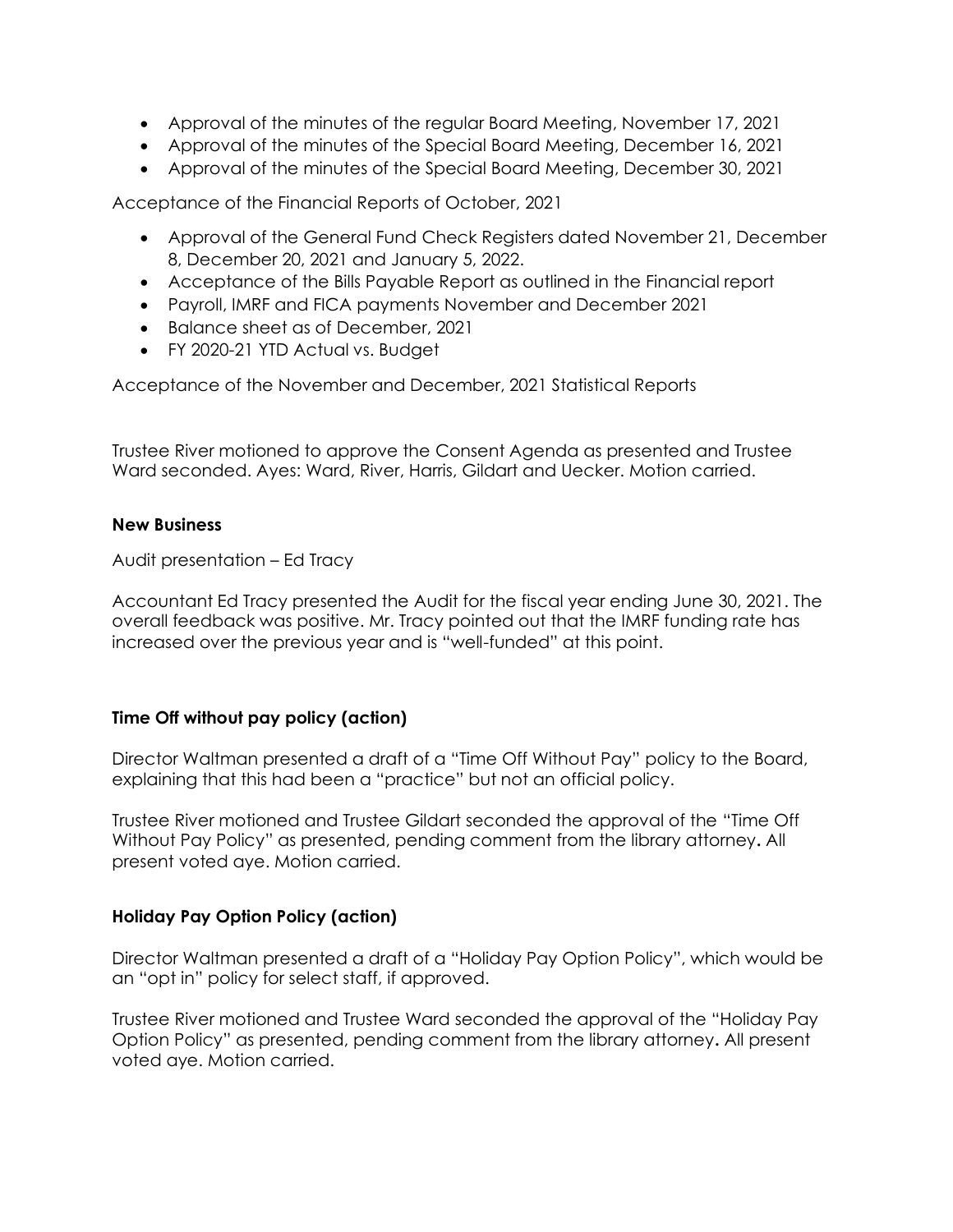- Approval of the minutes of the regular Board Meeting, November 17, 2021
- Approval of the minutes of the Special Board Meeting, December 16, 2021
- Approval of the minutes of the Special Board Meeting, December 30, 2021

Acceptance of the Financial Reports of October, 2021

- Approval of the General Fund Check Registers dated November 21, December 8, December 20, 2021 and January 5, 2022.
- Acceptance of the Bills Payable Report as outlined in the Financial report
- Payroll, IMRF and FICA payments November and December 2021
- Balance sheet as of December, 2021
- FY 2020-21 YTD Actual vs. Budget

Acceptance of the November and December, 2021 Statistical Reports

Trustee River motioned to approve the Consent Agenda as presented and Trustee Ward seconded. Ayes: Ward, River, Harris, Gildart and Uecker. Motion carried.

#### **New Business**

Audit presentation – Ed Tracy

Accountant Ed Tracy presented the Audit for the fiscal year ending June 30, 2021. The overall feedback was positive. Mr. Tracy pointed out that the IMRF funding rate has increased over the previous year and is "well-funded" at this point.

### **Time Off without pay policy (action)**

Director Waltman presented a draft of a "Time Off Without Pay" policy to the Board, explaining that this had been a "practice" but not an official policy.

Trustee River motioned and Trustee Gildart seconded the approval of the "Time Off Without Pay Policy" as presented, pending comment from the library attorney**.** All present voted aye. Motion carried.

### **Holiday Pay Option Policy (action)**

Director Waltman presented a draft of a "Holiday Pay Option Policy", which would be an "opt in" policy for select staff, if approved.

Trustee River motioned and Trustee Ward seconded the approval of the "Holiday Pay Option Policy" as presented, pending comment from the library attorney**.** All present voted aye. Motion carried.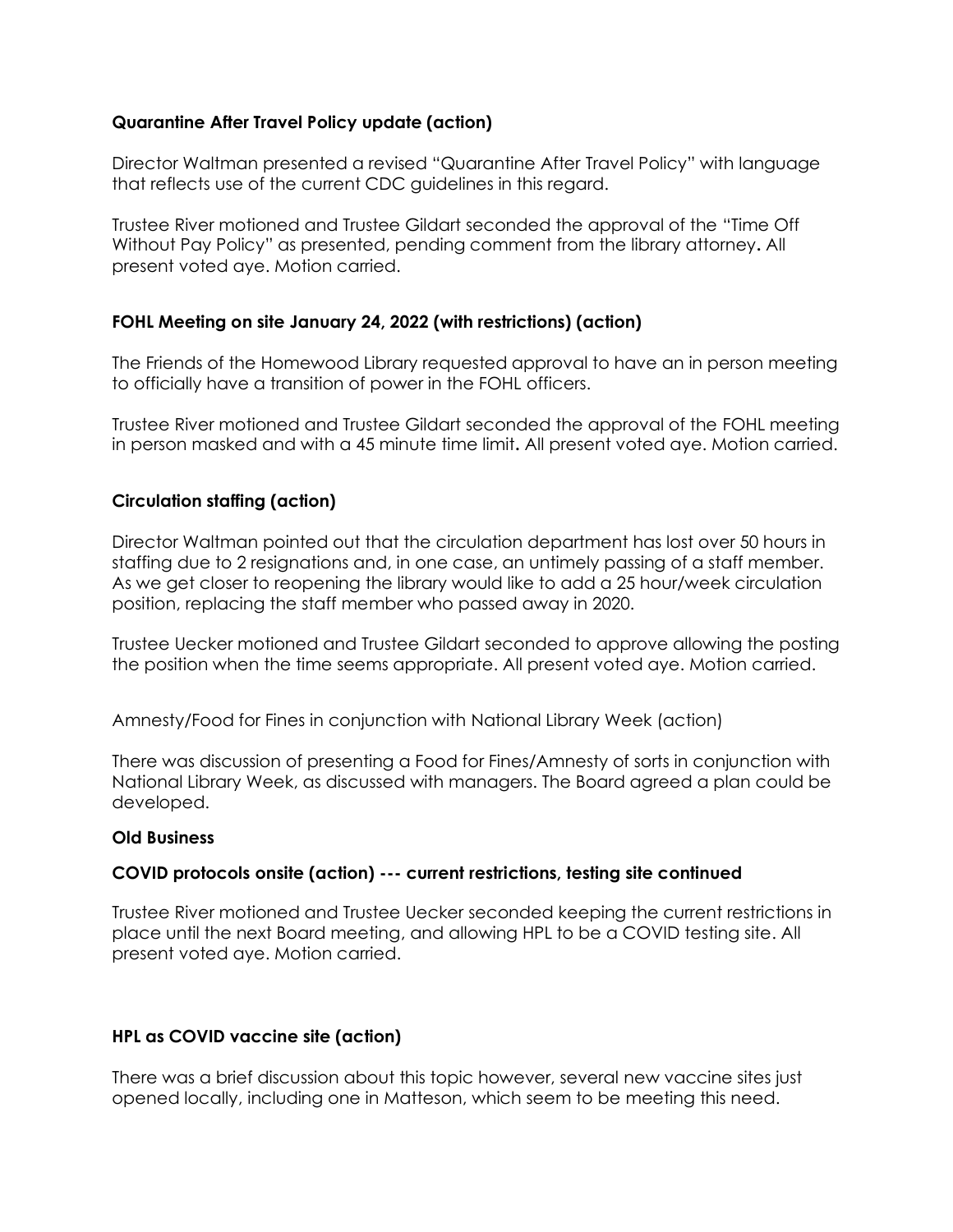## **Quarantine After Travel Policy update (action)**

Director Waltman presented a revised "Quarantine After Travel Policy" with language that reflects use of the current CDC guidelines in this regard.

Trustee River motioned and Trustee Gildart seconded the approval of the "Time Off Without Pay Policy" as presented, pending comment from the library attorney**.** All present voted aye. Motion carried.

## **FOHL Meeting on site January 24, 2022 (with restrictions) (action)**

The Friends of the Homewood Library requested approval to have an in person meeting to officially have a transition of power in the FOHL officers.

Trustee River motioned and Trustee Gildart seconded the approval of the FOHL meeting in person masked and with a 45 minute time limit**.** All present voted aye. Motion carried.

## **Circulation staffing (action)**

Director Waltman pointed out that the circulation department has lost over 50 hours in staffing due to 2 resignations and, in one case, an untimely passing of a staff member. As we get closer to reopening the library would like to add a 25 hour/week circulation position, replacing the staff member who passed away in 2020.

Trustee Uecker motioned and Trustee Gildart seconded to approve allowing the posting the position when the time seems appropriate. All present voted aye. Motion carried.

Amnesty/Food for Fines in conjunction with National Library Week (action)

There was discussion of presenting a Food for Fines/Amnesty of sorts in conjunction with National Library Week, as discussed with managers. The Board agreed a plan could be developed.

### **Old Business**

### **COVID protocols onsite (action) --- current restrictions, testing site continued**

Trustee River motioned and Trustee Uecker seconded keeping the current restrictions in place until the next Board meeting, and allowing HPL to be a COVID testing site. All present voted aye. Motion carried.

### **HPL as COVID vaccine site (action)**

There was a brief discussion about this topic however, several new vaccine sites just opened locally, including one in Matteson, which seem to be meeting this need.